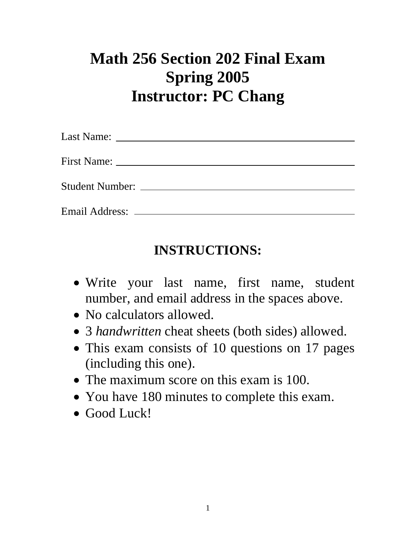## **Math 256 Section 202 Final Exam Spring 2005 Instructor: PC Chang**

| Email Address: _______________ |  |  |
|--------------------------------|--|--|

## **INSTRUCTIONS:**

- Write your last name, first name, student number, and email address in the spaces above.
- No calculators allowed.
- 3 *handwritten* cheat sheets (both sides) allowed.
- This exam consists of 10 questions on 17 pages (including this one).
- The maximum score on this exam is 100.
- You have 180 minutes to complete this exam.
- Good Luck!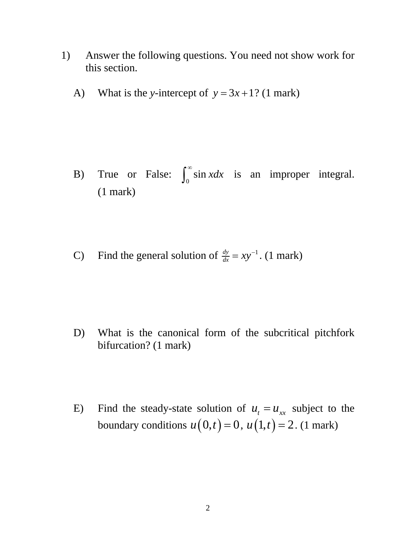- 1) Answer the following questions. You need not show work for this section.
	- A) What is the *y*-intercept of  $y = 3x + 1$ ? (1 mark)

- B) True or False:  $\int_0^\infty \sin x dx$  is an improper integral. (1 mark)
- C) Find the general solution of  $\frac{dy}{dx} = xy^{-1}$ . (1 mark)

- D) What is the canonical form of the subcritical pitchfork bifurcation? (1 mark)
- E) Find the steady-state solution of  $u_t = u_{xx}$  subject to the boundary conditions  $u(0,t) = 0$ ,  $u(1,t) = 2$ . (1 mark)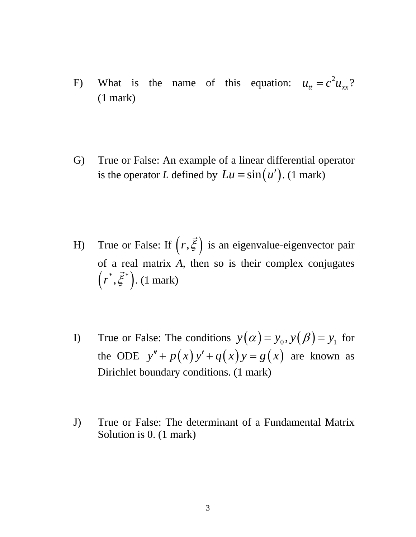- F) What is the name of this equation:  $u_{tt} = c^2 u_{xx}$ ? (1 mark)
- G) True or False: An example of a linear differential operator is the operator *L* defined by  $Lu \equiv \sin(u')$ . (1 mark)
- H) True or False: If  $(r, \vec{\xi})$  is an eigenvalue-eigenvector pair of a real matrix *A*, then so is their complex conjugates  $(r^*, \vec{\xi}^*)$ . (1 mark)
- I) True or False: The conditions  $y(\alpha) = y_0, y(\beta) = y_1$  for the ODE  $y'' + p(x)y' + q(x)y = g(x)$  are known as Dirichlet boundary conditions. (1 mark)
- J) True or False: The determinant of a Fundamental Matrix Solution is 0. (1 mark)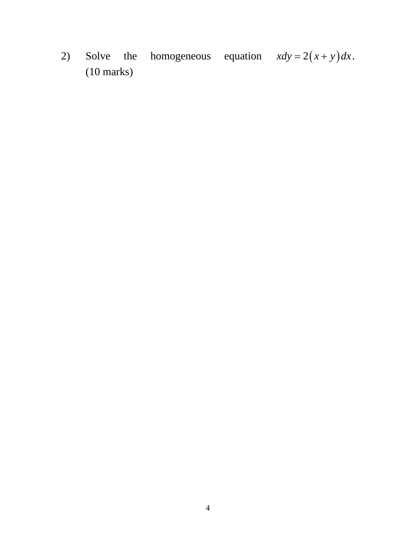homogeneous equation  $xdy = 2(x + y)dx$ .  $2)$ Solve the  $(10 \text{ marks})$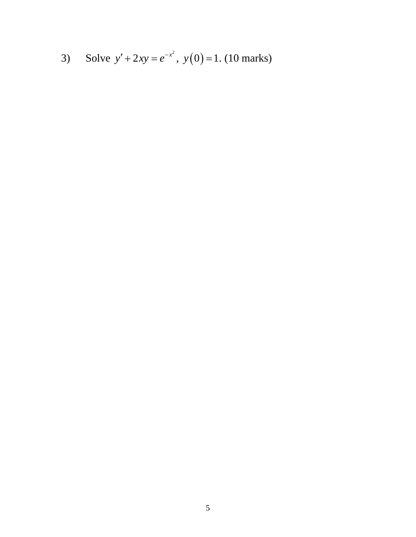3) Solve 
$$
y' + 2xy = e^{-x^2}
$$
,  $y(0) = 1$ . (10 marks)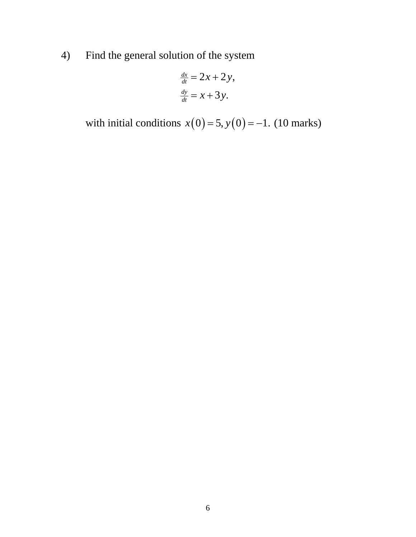4) Find the general solution of the system

$$
\frac{dx}{dt} = 2x + 2y,
$$
  

$$
\frac{dy}{dt} = x + 3y.
$$

with initial conditions  $x(0) = 5$ ,  $y(0) = -1$ . (10 marks)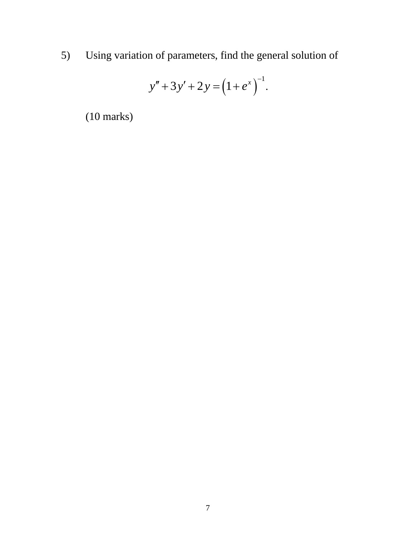5) Using variation of parameters, find the general solution of

$$
y'' + 3y' + 2y = (1 + e^x)^{-1}.
$$

(10 marks)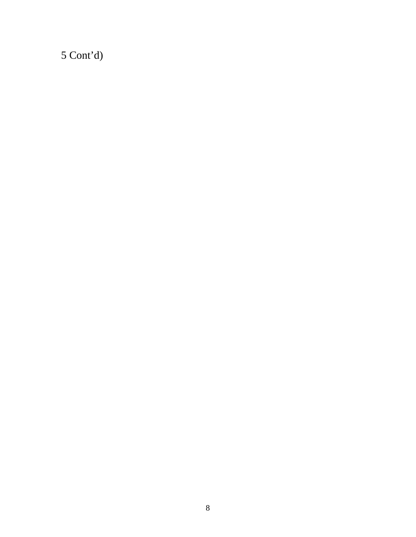$5$  Cont'd)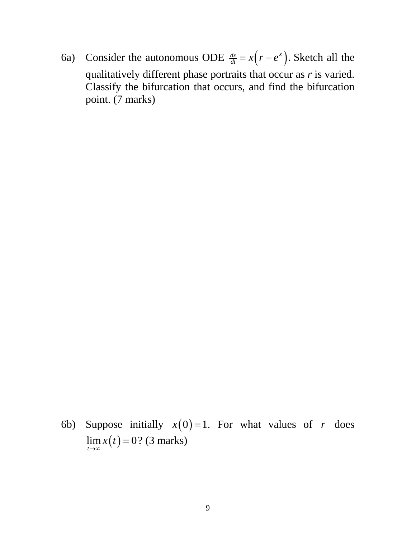6a) Consider the autonomous ODE  $\frac{dx}{dt} = x(r - e^x)$ . Sketch all the qualitatively different phase portraits that occur as *r* is varied. Classify the bifurcation that occurs, and find the bifurcation point. (7 marks)

6b) Suppose initially  $x(0) = 1$ . For what values of *r* does  $\lim_{t \to \infty} x(t) = 0$ ? (3 marks)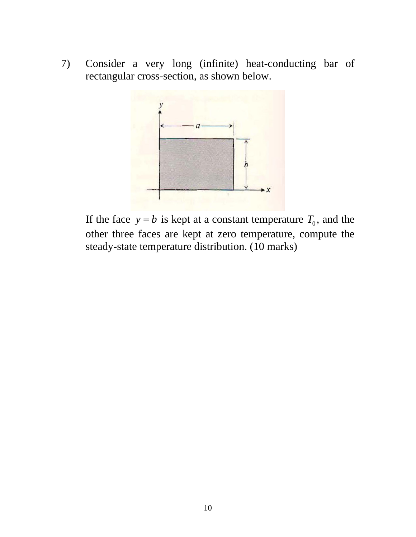7) Consider a very long (infinite) heat-conducting bar of rectangular cross-section, as shown below.



If the face  $y = b$  is kept at a constant temperature  $T_0$ , and the other three faces are kept at zero temperature, compute the steady-state temperature distribution. (10 marks)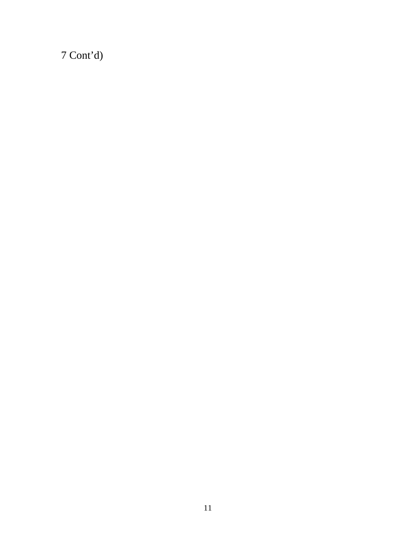Cont'd)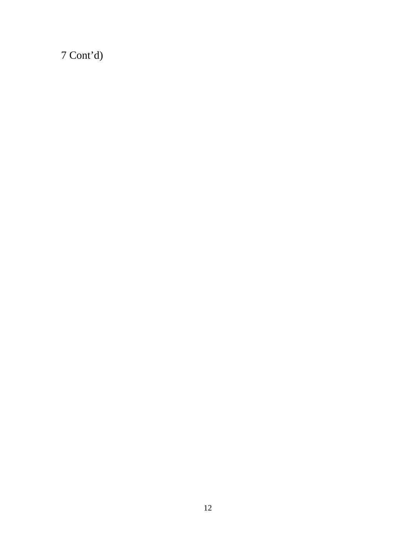$7$  Cont'd)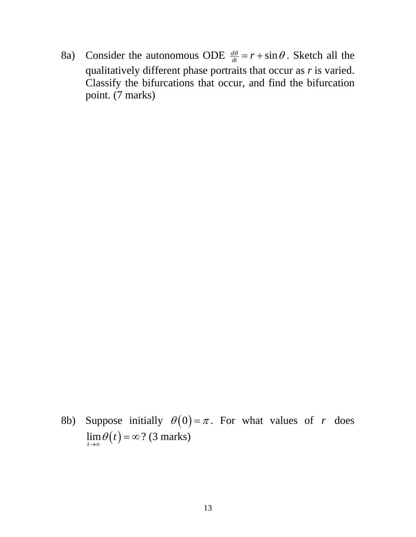8a) Consider the autonomous ODE  $\frac{d\theta}{dt} = r + \sin \theta$ . Sketch all the qualitatively different phase portraits that occur as *r* is varied. Classify the bifurcations that occur, and find the bifurcation point. (7 marks)

8b) Suppose initially  $\theta(0) = \pi$ . For what values of *r* does  $\lim_{t \to \infty} \theta(t) = \infty$  ? (3 marks)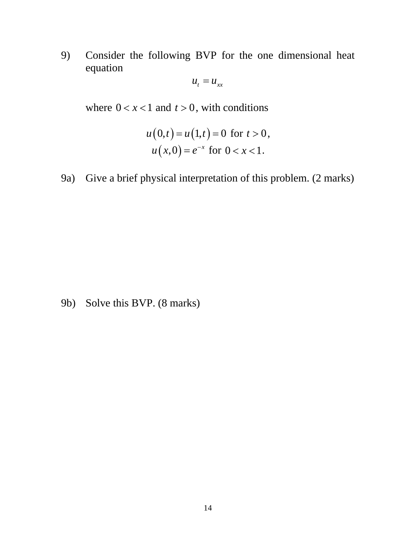9) Consider the following BVP for the one dimensional heat equation

$$
u_t = u_{xx}
$$

where  $0 < x < 1$  and  $t > 0$ , with conditions

$$
u(0,t) = u(1,t) = 0 \text{ for } t > 0,
$$
  
 
$$
u(x,0) = e^{-x} \text{ for } 0 < x < 1.
$$

9a) Give a brief physical interpretation of this problem. (2 marks)

9b) Solve this BVP. (8 marks)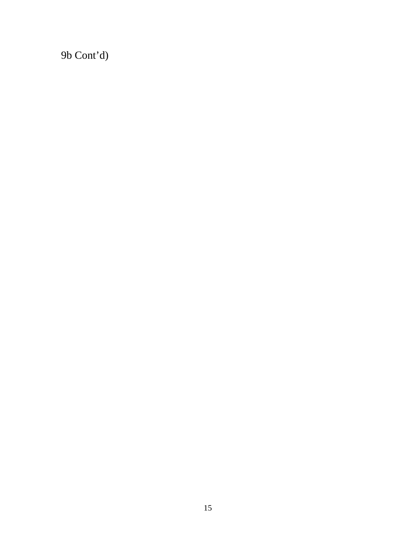9b Cont'd)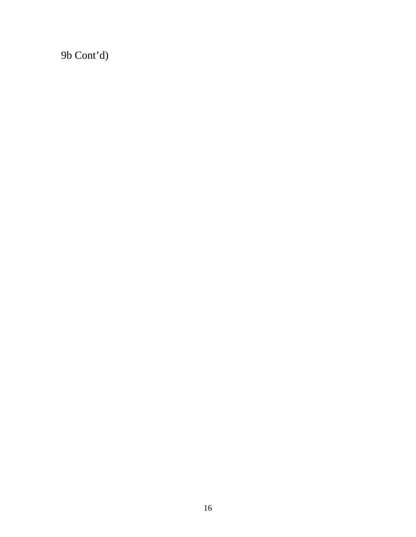9b Cont'd)